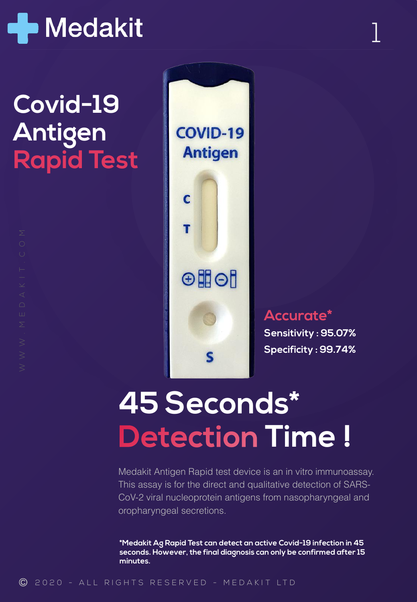

### **Covid-19 Antigen Rapid Test**



## **45 Seconds\* Detection Time !**

Medakit Antigen Rapid test device is an in vitro immunoassay. This assay is for the direct and qualitative detection of SARS-CoV-2 viral nucleoprotein antigens from nasopharyngeal and oropharyngeal secretions.

**\*Medakit Ag Rapid Test can detect an active Covid-19 infection in 45 seconds. However, the final diagnosis can only be confirmed after 15 minutes.**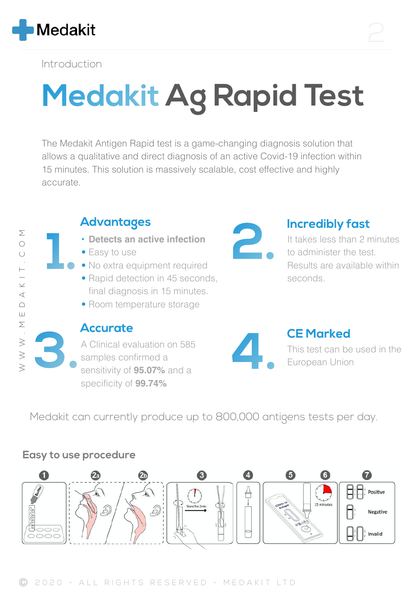

Introduction

**1.**

# **Medakit Ag Rapid Test**

The Medakit Antigen Rapid test is a game-changing diagnosis solution that allows a qualitative and direct diagnosis of an active Covid-19 infection within 15 minutes. This solution is massively scalable, cost effective and highly accurate.



### **Advantages**

- **• Detects an active infection**
- Easy to use

**Accurate**

- No extra equipment required
- Rapid detection in 45 seconds, final diagnosis in 15 minutes.
- Room temperature storage

A Clinical evaluation on 585

sensitivity of **95.07%** and a

samples confirmed a

specificity of **99.74%**



#### **2. Incredibly fast**

It takes less than 2 minutes to administer the test. Results are available within seconds.



This test can be used in the **3.** European Union

Medakit can currently produce up to 800,000 antigens tests per day.

#### **Easy to use procedure**